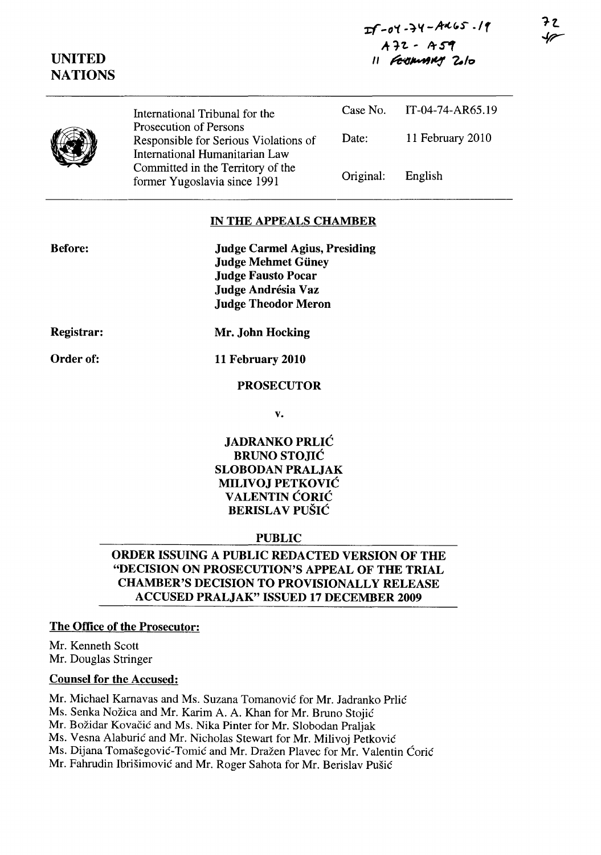| $I - 04 - 74 - 4465 - 19$ |
|---------------------------|
| $A$ 72 - A59              |
| 11 FEDWARY 2010           |

| International Tribunal for the                                    | Case No.                                                 | IT-04-74-AR65.19 |
|-------------------------------------------------------------------|----------------------------------------------------------|------------------|
| Responsible for Serious Violations of                             | Date:                                                    | 11 February 2010 |
| Committed in the Territory of the<br>former Yugoslavia since 1991 | Original:                                                | English          |
|                                                                   | Prosecution of Persons<br>International Humanitarian Law |                  |

#### IN THE APPEALS CHAMBER

Judge Carmel Agius, Presiding Judge Mehmet Güney Judge Fausto Pocar Judge Andrésia Vaz Judge Theodor Meron

Registrar:

Before:

UNITED

Order of:

Mr. John Hocking

## 11 February 2010

#### PROSECUTOR

v.

## JADRANKO PRLIC BRUNO STOJIC SLOBODAN PRALJAK MILIVOJ PETKOVIC VALENTIN ĆORIĆ BERISLAV PUŠIĆ

#### PUBLIC

## ORDER ISSUING A PUBLIC REDACTED VERSION OF THE "DECISION ON PROSECUTION'S APPEAL OF THE TRIAL CHAMBER'S DECISION TO PROVISIONALLY RELEASE ACCUSED PRALJAK" ISSUED 17 DECEMBER 2009

## The Office of the Prosecutor:

Mr. Kenneth Scott Mr. Douglas Stringer

#### Counsel for the Accused:

Mr. Michael Karnavas and Ms. Suzana Tomanović for Mr. Jadranko Prlić

Ms. Senka Nožica and Mr. Karim A. A. Khan for Mr. Bruno Stojić

Mr. Božidar Kovačić and Ms. Nika Pinter for Mr. Slobodan Praljak

Ms. Vesna Alaburic and Mr. Nicholas Stewart for Mr. Milivoj Petkovie

Ms. Dijana Tomašegović-Tomić and Mr. Dražen Plavec for Mr. Valentin Ćorić

Mr. Fahrudin Ibrišimović and Mr. Roger Sahota for Mr. Berislav Pušić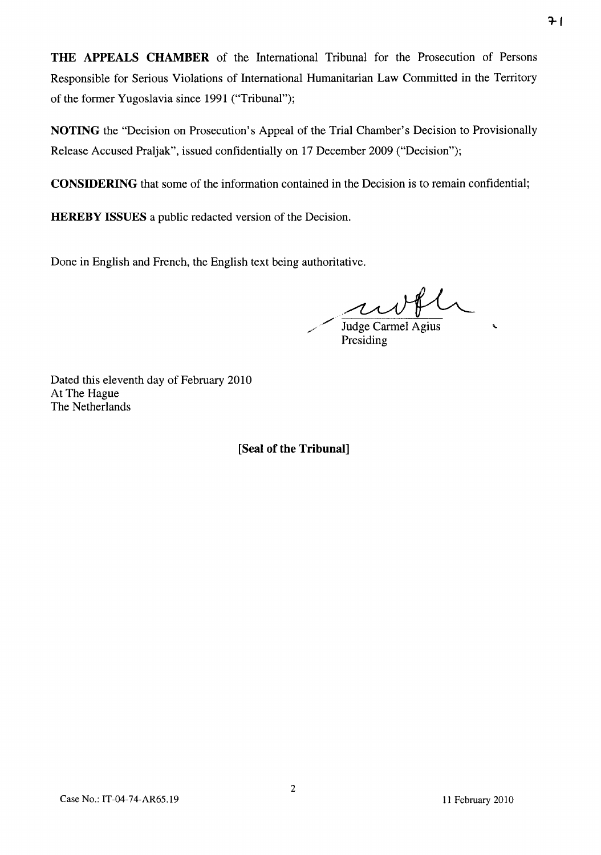**THE APPEALS CHAMBER** of the International Tribunal for the Prosecution of Persons Responsible for Serious Violations of International Humanitarian Law Committed in the Territory of the fonner Yugoslavia since 1991 ("Tribunal");

**NOTING** the "Decision on Prosecution's Appeal of the Trial Chamber's Decision to Provisionally Release Accused Praljak", issued confidentially on 17 December 2009 ("Decision");

**CONSIDERING** that some of the information contained in the Decision is to remain confidential;

**HEREBY ISSUES** a public redacted version of the Decision.

Done in English and French, the English text being authoritative.

 $\ddot{\phantom{0}}$ 

Judge Carmel Agius Presiding

Dated this eleventh day of February 2010 At The Hague The Netherlands

**[Seal of the Tribunal]**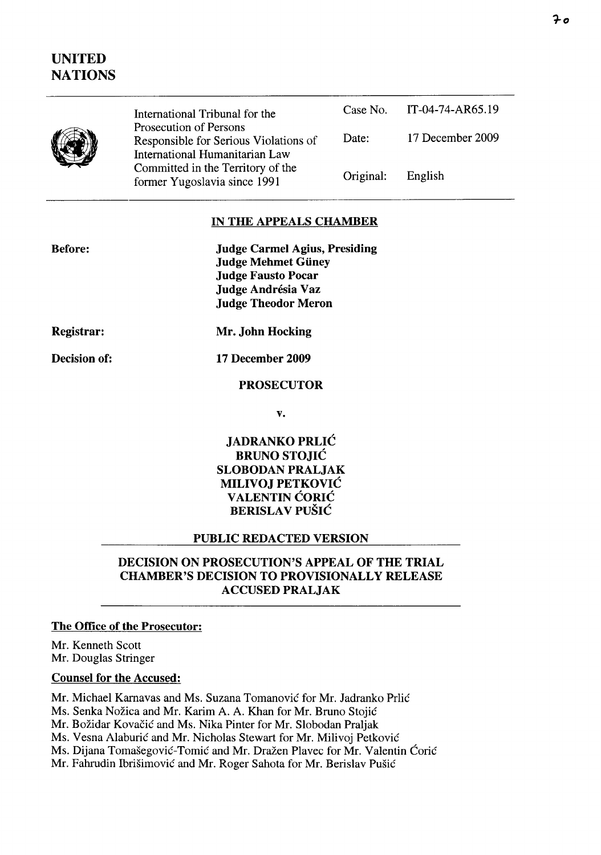# UNITED NATIONS

| International Tribunal for the                                                                    |           | Case No. IT-04-74-AR65.19 |
|---------------------------------------------------------------------------------------------------|-----------|---------------------------|
| Prosecution of Persons<br>Responsible for Serious Violations of<br>International Humanitarian Law | Date:     | 17 December 2009          |
| Committed in the Territory of the<br>former Yugoslavia since 1991                                 | Original: | English                   |

## IN THE APPEALS CHAMBER

| <b>Judge Carmel Agius, Presiding</b> |  |
|--------------------------------------|--|
| <b>Judge Mehmet Güney</b>            |  |
| <b>Judge Fausto Pocar</b>            |  |
| Judge Andrésia Vaz                   |  |
| <b>Judge Theodor Meron</b>           |  |

Registrar:

Before:

Decision of:

Mr. John Hocking

17 December 2009

#### PROSECUTOR

v.

JADRANKO PRLIC BRUNO STOJIC SLOBODAN PRALJAK MILIVOJ PETKOVIC **VALENTIN CORIC** BERISLAV PUŠIĆ

#### PUBLIC REDACTED VERSION

## DECISION ON PROSECUTION'S APPEAL OF THE TRIAL CHAMBER'S DECISION TO PROVISIONALLY RELEASE ACCUSED PRALJAK

#### The Office of the Prosecutor:

Mr. Kenneth Scott Mr. Douglas Stringer

### Counsel for the Accused:

Mr. Michael Karnavas and Ms. Suzana Tomanović for Mr. Jadranko Prlić

Ms. Senka Nožica and Mr. Karim A. A. Khan for Mr. Bruno Stojić

Mr. Božidar Kovačić and Ms. Nika Pinter for Mr. Slobodan Praljak

Ms. Vesna Alaburić and Mr. Nicholas Stewart for Mr. Milivoj Petković

Ms. Dijana Tomašegović-Tomić and Mr. Dražen Plavec for Mr. Valentin Ćorić

Mr. Fahrudin Ibrišimović and Mr. Roger Sahota for Mr. Berislav Pušić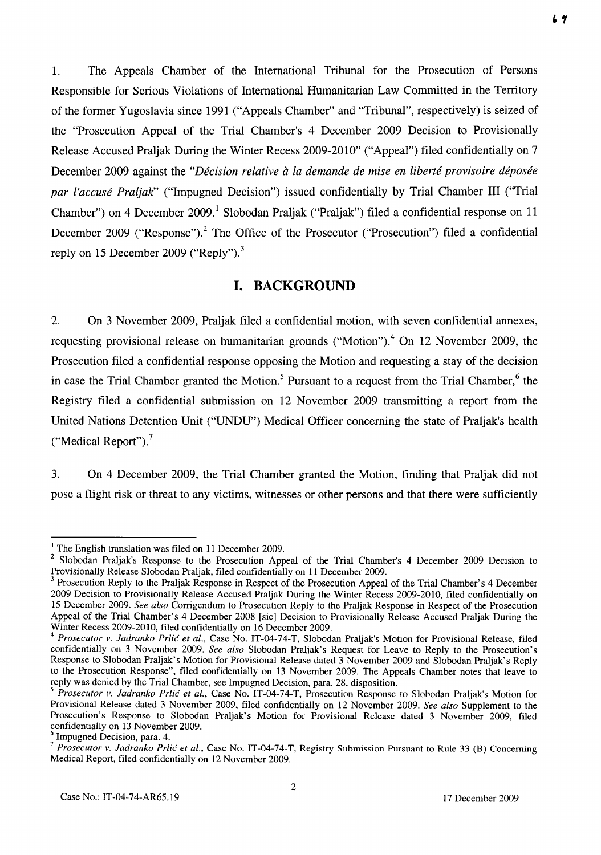1. The Appeals Chamber of the International Tribunal for the Prosecution of Persons Responsible for Serious Violations of International Humanitarian Law Committed in the Territory of the former Yugoslavia since 1991 ("Appeals Chamber" and "Tribunal", respectively) is seized of the "Prosecution Appeal of the Trial Chamber's 4 December 2009 Decision to Provisionally Release Accused Praljak During the Winter Recess 2009-2010" ("Appeal") filed confidentially on 7 December 2009 against the *"Décision relative à la demande de mise en liberté provisoire déposée par l'accuse Praljak"* ("Impugned Decision") issued confidentially by Trial Chamber **III** ("Trial Chamber") on 4 December 2009.<sup>1</sup> Slobodan Praljak ("Praljak") filed a confidential response on 11 December 2009 ("Response").<sup>2</sup> The Office of the Prosecutor ("Prosecution") filed a confidential reply on 15 December 2009 ("Reply").<sup>3</sup>

## **I. BACKGROUND**

2. On 3 November 2009, Praljak filed a confidential motion, with seven confidential annexes, requesting provisional release on humanitarian grounds ("Motion").<sup>4</sup> On 12 November 2009, the Prosecution filed a confidential response opposing the Motion and requesting a stay of the decision in case the Trial Chamber granted the Motion.<sup>5</sup> Pursuant to a request from the Trial Chamber,<sup>6</sup> the Registry filed a confidential submission on 12 November 2009 transmitting a report from the United Nations Detention Unit ("UNDU") Medical Officer concerning the state of Praljak's health ("Medical Report"). $<sup>7</sup>$ </sup>

3. On 4 December 2009, the Trial Chamber granted the Motion, finding that Praljak did not pose a flight risk or threat to any victims, witnesses or other persons and that there were sufficiently

 $<sup>1</sup>$  The English translation was filed on 11 December 2009.</sup>

<sup>&</sup>lt;sup>2</sup> Slobodan Praljak's Response to the Prosecution Appeal of the Trial Chamber's 4 December 2009 Decision to Provisionally Release Slobodan Praljak, filed confidentially on 11 December 2009.

<sup>&</sup>lt;sup>3</sup> Prosecution Reply to the Praljak Response in Respect of the Prosecution Appeal of the Trial Chamber's 4 December 2009 Decision to Provisionally Release Accused Praljak During the Winter Recess 2009-2010, filed confidentially on 15 December 2009. *See also* Corrigendum to Prosecution Reply to the Praljak Response in Respect of the Prosecution Appeal of the Trial Chamber's 4 December 2008 [sic] Decision to Provisionally Release Accused Praljak During the Winter Recess 2009-2010, filed confidentially on 16 December 2009.

<sup>4</sup>*Prosecutor v. ladranko Prlic et al.,* Case No. IT-04-74-T, Slobodan Praljak's Motion for Provisional Release, filed confidentially on 3 November 2009. *See also* Slobodan Praljak's Request for Leave to Reply to the Prosecution's Response to Slobodan Praljak's Motion for Provisional Release dated 3 November 2009 and Slobodan Praljak's Reply to the Prosecution Response", filed confidentially on 13 November 2009. The Appeals Chamber notes that leave to reply was denied by the Trial Chamber, see Impugned Decision, para. 28, disposition.

*<sup>5</sup> Prosecutor v. ladranko Prlic et aI.,* Case No. IT-04-74-T, Prosecution Response to Slobodan Praljak's Motion for Provisional Release dated 3 November 2009, filed confidentially on 12 November 2009. *See also* Supplement to the Prosecution's Response to Slobodan Praljak's Motion for Provisional Release dated 3 November 2009, filed confidentially on 13 November 2009.

Impugned Decision, para. 4.

<sup>7</sup>*Prosecutor v. ladranko Prlic et al.,* Case No. IT-04-74-T, Registry Submission Pursuant to Rule 33 (B) Concerning Medical Report, filed confidentially on 12 November 2009.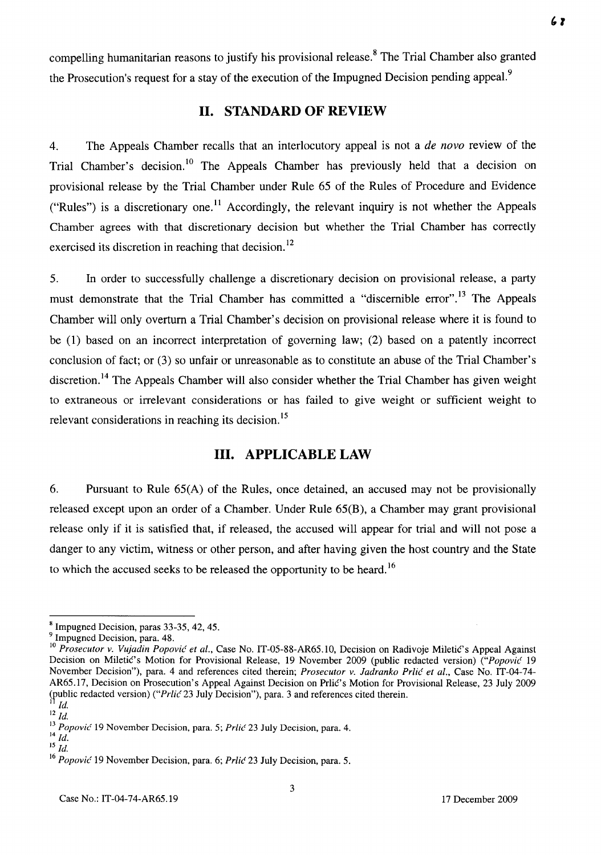compelling humanitarian reasons to justify his provisional release.<sup>8</sup> The Trial Chamber also granted the Prosecution's request for a stay of the execution of the Impugned Decision pending appeal.<sup>9</sup>

#### **11. STANDARD OF REVIEW**

4. The Appeals Chamber recalls that an interlocutory appeal is not a *de novo* review of the Trial Chamber's decision.<sup>10</sup> The Appeals Chamber has previously held that a decision on provisional release by the Trial Chamber under Rule 65 of the Rules of Procedure and Evidence ("Rules") is a discretionary one.<sup>11</sup> Accordingly, the relevant inquiry is not whether the Appeals Chamber agrees with that discretionary decision but whether the Trial Chamber has correctly exercised its discretion in reaching that decision.<sup>12</sup>

5. **In** order to successfully challenge a discretionary decision on provisional release, a party must demonstrate that the Trial Chamber has committed a "discernible error".<sup>13</sup> The Appeals Chamber will only overturn a Trial Chamber's decision on provisional release where it is found to be (1) based on an incorrect interpretation of governing law; (2) based on a patently incorrect conclusion of fact; or (3) so unfair or unreasonable as to constitute an abuse of the Trial Chamber's discretion.<sup>14</sup> The Appeals Chamber will also consider whether the Trial Chamber has given weight to extraneous or irrelevant considerations or has failed to give weight or sufficient weight to relevant considerations in reaching its decision.<sup>15</sup>

#### **Ill. APPLICABLE LAW**

6. Pursuant to Rule 65(A) of the Rules, once detained, an accused may not be provisionally released except upon an order of a Chamber. Under Rule 65(B), a Chamber may grant provisional release only if it is satisfied that, if released, the accused will appear for trial and will not pose a danger to any victim, witness or other person, and after having given the host country and the State to which the accused seeks to be released the opportunity to be heard.<sup>16</sup>

<sup>8</sup> Impugned Decision, paras 33-35, 42, 45.

<sup>&</sup>lt;sup>9</sup> Impugned Decision, para. 48.

<sup>&</sup>lt;sup>10</sup> Prosecutor v. Vujadin Popović et al., Case No. IT-05-88-AR65.10, Decision on Radivoje Miletić's Appeal Against Decision on Miletic's Motion for Provisional Release, 19 November 2009 (public redacted version) *("Popovic 19*  November Decision"), para. 4 and references cited therein; *Prosecutor v. ladranko Prlic et al.,* Case No. IT-04-74- AR65.17, Decision on Prosecution's Appeal Against Decision on Prlic's Motion for Provisional Release, 23 July 2009 (public redacted version) *("Prlic* 23 July Decision"), para. 3 and references cited therein.

*Id.*  $12 \frac{1}{1}$ .

<sup>&</sup>lt;sup>13</sup> *Popović* 19 November Decision, para. 5; *Prlić* 23 July Decision, para. 4.  $^{14}$ *Id.* 

 $\overline{\phantom{a}}^{15}$ *Id.* 

<sup>16</sup>*Popovic* 19 November Decision, para. 6; *Prlic* 23 July Decision, para. 5.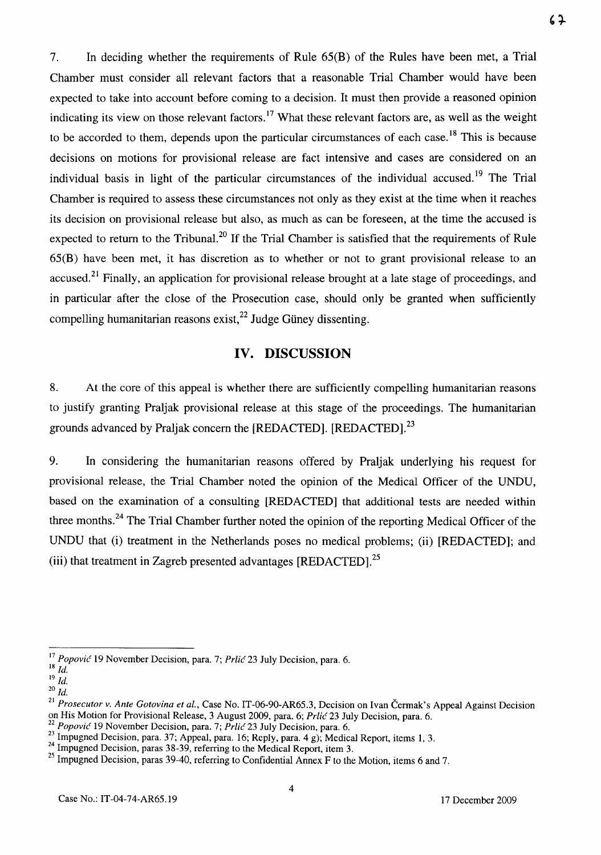7. In deciding whether the requirements of Rule 65(B) of the Rules have been met, a Trial Chamber must consider all relevant factors that a reasonable Trial Chamber would have been expected to take into account before coming to a decision. It must then provide a reasoned opinion indicating its view on those relevant factors.<sup>17</sup> What these relevant factors are, as well as the weight to be accorded to them, depends upon the particular circumstances of each case.<sup>18</sup> This is because decisions on motions for provisional release are fact intensive and cases are considered on an individual basis in light of the particular circumstances of the individual accused. 19 The Trial Chamber is required to assess these circumstances not only as they exist at the time when it reaches its decision on provisional release but also, as much as can be foreseen, at the time the accused is expected to return to the Tribunal.<sup>20</sup> If the Trial Chamber is satisfied that the requirements of Rule 65(B) have been met, it has discretion as to whether or not to grant provisional release to an accused.<sup>21</sup> Finally, an application for provisional release brought at a late stage of proceedings, and in particular after the close of the Prosecution case, should only be granted when sufficiently compelling humanitarian reasons exist, $^{22}$  Judge Güney dissenting.

## **IV. DISCUSSION**

8. At the core of this appeal is whether there are sufficiently compelling humanitarian reasons to justify granting Praljak provisional release at this stage of the proceedings. The humanitarian grounds advanced by Praljak concern the [REDACTED]. [REDACTED].<sup>23</sup>

9. In considering the humanitarian reasons offered by Praljak underlying his request for provisional release, the Trial Chamber noted the opinion of the Medical Officer of the UNDU, based on the examination of a consulting [REDACTED] that additional tests are needed within three months.<sup>24</sup> The Trial Chamber further noted the opinion of the reporting Medical Officer of the UNDU that (i) treatment in the Netherlands poses no medical problems; (ii) [REDACTED]; and (iii) that treatment in Zagreb presented advantages [REDACTED].<sup>25</sup>

<sup>17</sup>*Popovic* 19 November Decision, para. 7; *Prlic* 23 July Decision, para. 6. *18 Id.* 

 $19\,H$ . *20 Id.* 

<sup>21</sup>*Prosecutor* v. *Ante Gotovina et al.,* Case No. IT-06-90-AR65.3, Decision on Ivan Cermak's Appeal Against Decision on His Motion for Provisional Release, 3 August 2009, para. 6; *Prlic* 23 July Decision, para. 6.

*<sup>22</sup> Popovic* 19 November Decision, para. 7; *Prlic* 23 July Decision, para. 6.

 $^{23}$  Impugned Decision, para. 37; Appeal, para. 16; Reply, para. 4 g); Medical Report, items 1, 3.

 $^{24}$  Impugned Decision, paras 38-39, referring to the Medical Report, item 3.

<sup>&</sup>lt;sup>25</sup> Impugned Decision, paras 39-40, referring to Confidential Annex F to the Motion, items 6 and 7.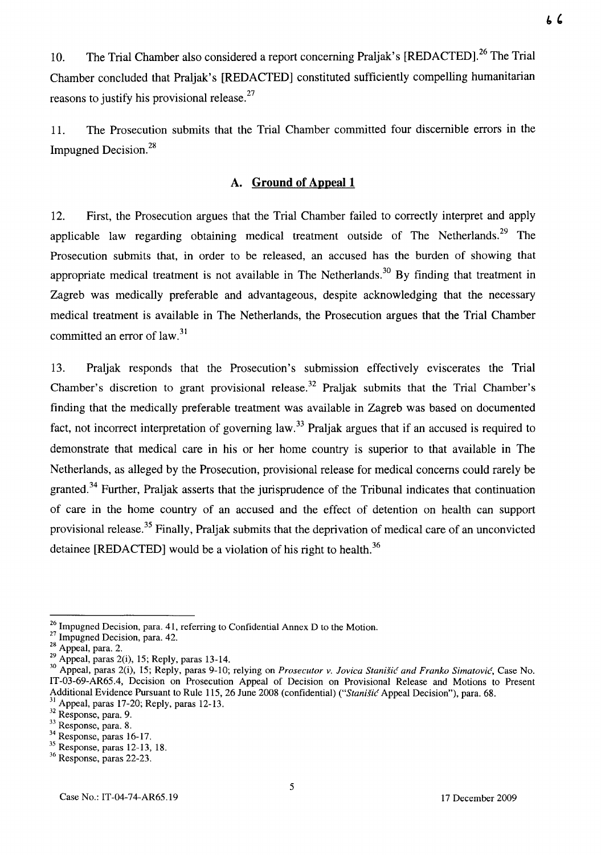10. The Trial Chamber also considered a report concerning Praljak's [REDACTED].<sup>26</sup> The Trial Chamber concluded that Praljak's [REDACTED] constituted sufficiently compelling humanitarian reasons to justify his provisional release.<sup>27</sup>

11. The Prosecution submits that the Trial Chamber committed four discernible errors in the Impugned Decision.<sup>28</sup>

## **A. Ground of Appeal 1**

12. First, the Prosecution argues that the Trial Chamber failed to correctly interpret and apply applicable law regarding obtaining medical treatment outside of The Netherlands.<sup>29</sup> The Prosecution submits that, in order to be released, an accused has the burden of showing that appropriate medical treatment is not available in The Netherlands.<sup>30</sup> By finding that treatment in Zagreb was medically preferable and advantageous, despite acknowledging that the necessary medical treatment is available in The Netherlands, the Prosecution argues that the Trial Chamber committed an error of  $law.<sup>31</sup>$ 

13. Praljak responds that the Prosecution's submission effectively eviscerates the Trial Chamber's discretion to grant provisional release.<sup>32</sup> Praljak submits that the Trial Chamber's finding that the medically preferable treatment was available in Zagreb was based on documented fact, not incorrect interpretation of governing law.<sup>33</sup> Praljak argues that if an accused is required to demonstrate that medical care in his or her home country is superior to that available in The Netherlands, as alleged by the Prosecution, provisional release for medical concerns could rarely be granted. 34 Further, Praljak asserts that the jurisprudence of the Tribunal indicates that continuation of care in the home country of an accused and the effect of detention on health can support provisional release.<sup>35</sup> Finally, Praljak submits that the deprivation of medical care of an unconvicted detainee [REDACTED] would be a violation of his right to health.<sup>36</sup>

<sup>&</sup>lt;sup>26</sup> Impugned Decision, para. 41, referring to Confidential Annex D to the Motion.

<sup>&</sup>lt;sup>27</sup> Impugned Decision, para. 42.

 $28$  Appeal, para. 2.

 $29$  Appeal, paras 2(i), 15; Reply, paras 13-14.

<sup>&</sup>lt;sup>30</sup> Appeal, paras 2(i), 15; Reply, paras 9-10; relying on *Prosecutor v. Jovica Stanišić and Franko Simatović*, Case No. IT-03-69-AR65.4, Decision on Prosecution Appeal of Decision on Provisional Release and Motions to Present Additional Evidence Pursuant to Rule 115, 26 June 2008 (confidential) *("Stanišić Appeal Decision"*), para. 68. <sup>31</sup> Appeal, paras 17-20; Reply, paras 12-13.

 $32$  Response, para. 9.

<sup>33</sup> Response, para. 8.

 $34$  Response, paras 16-17.

<sup>35</sup> Response, paras 12-l3, 18.

<sup>36</sup> Response, paras 22-23.

Case No.: IT-04-74-AR65.19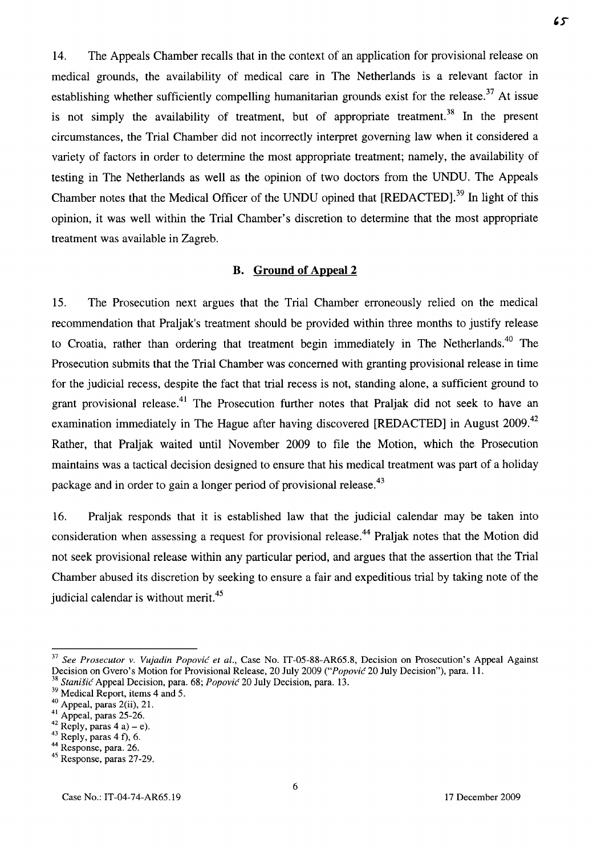14. The Appeals Chamber recalls that in the context of an application for provisional release on medical grounds, the availability of medical care in The Netherlands is a relevant factor in establishing whether sufficiently compelling humanitarian grounds exist for the release.<sup>37</sup> At issue is not simply the availability of treatment, but of appropriate treatment.<sup>38</sup> In the present circumstances, the Trial Chamber did not incorrectly interpret governing law when it considered a variety of factors in order to determine the most appropriate treatment; namely, the availability of testing in The Netherlands as well as the opinion of two doctors from the UNDU. The Appeals Chamber notes that the Medical Officer of the UNDU opined that [REDACTED].<sup>39</sup> In light of this opinion, it was well within the Trial Chamber's discretion to determine that the most appropriate treatment was available in Zagreb.

## **B. Ground of Appeal 2**

15. The Prosecution next argues that the Trial Chamber erroneously relied on the medical recommendation that Praljak's treatment should be provided within three months to justify release to Croatia, rather than ordering that treatment begin immediately in The Netherlands.<sup>40</sup> The Prosecution submits that the Trial Chamber was concerned with granting provisional release in time for the judicial recess, despite the fact that trial recess is not, standing alone, a sufficient ground to grant provisional release.<sup>41</sup> The Prosecution further notes that Praljak did not seek to have an examination immediately in The Hague after having discovered [REDACTED] in August 2009.<sup>42</sup> Rather, that Praljak waited until November 2009 to file the Motion, which the Prosecution maintains was a tactical decision designed to ensure that his medical treatment was part of a holiday package and in order to gain a longer period of provisional release.<sup>43</sup>

16. Praljak responds that it is established law that the judicial calendar may be taken into consideration when assessing a request for provisional release.<sup>44</sup> Praljak notes that the Motion did not seek provisional release within any particular period, and argues that the assertion that the Trial Chamber abused its discretion by seeking to ensure a fair and expeditious trial by taking note of the judicial calendar is without merit.<sup>45</sup>

 $65$ 

<sup>&</sup>lt;sup>37</sup> See Prosecutor v. Vujadin Popović et al., Case No. IT-05-88-AR65.8, Decision on Prosecution's Appeal Against Decision on Gvero's Motion for Provisional Release, 20 July 2009 *("Popovic* 20 July Decision"), para. 11.

<sup>38</sup>*Stanisic* Appeal Decision, para. 68; *Popovic* 20 July Decision, para. 13.

<sup>&</sup>lt;sup>39</sup> Medical Report, items 4 and 5.

<sup>40</sup> Appeal, paras 2(ii), 21.

 $41$  Appeal, paras 25-26.

 $^{42}$  Reply, paras 4 a) – e).

 $43$  Reply, paras 4 f), 6.

<sup>44</sup> Response, para. 26.

<sup>45</sup> Response, paras 27-29.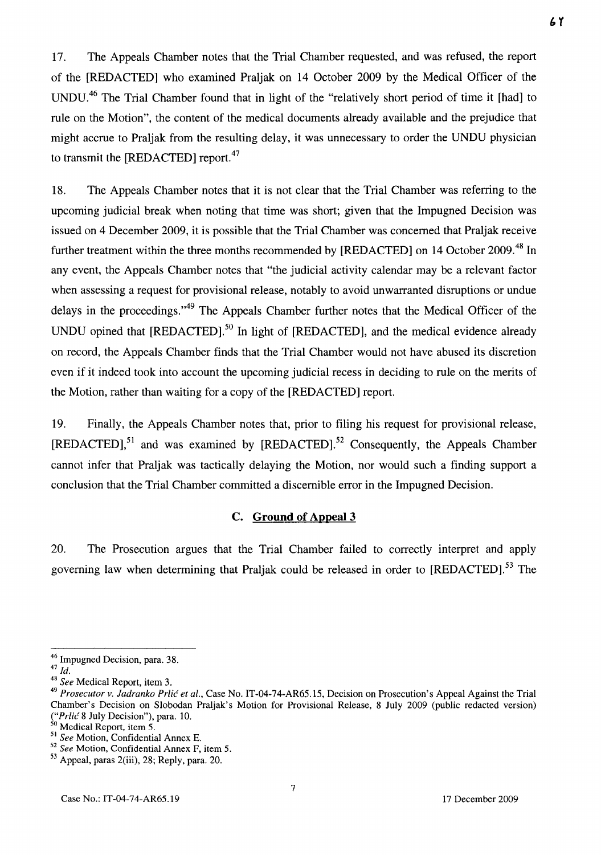17. The Appeals Chamber notes that the Trial Chamber requested, and was refused, the report of the [REDACTED] who examined Praljak on 14 October 2009 by the Medical Officer of the UNDU.46 The Trial Chamber found that in light of the "relatively short period of time it [had] to rule on the Motion", the content of the medical documents already available and the prejudice that might accrue to Praljak from the resulting delay, it was unnecessary to order the UNDU physician to transmit the [REDACTED] report.<sup>47</sup>

18. The Appeals Chamber notes that it is not clear that the Trial Chamber was referring to the upcoming judicial break when noting that time was short; given that the Impugned Decision was issued on 4 December 2009, it is possible that the Trial Chamber was concerned that Praljak receive further treatment within the three months recommended by [REDACTED] on 14 October 2009.<sup>48</sup> In any event, the Appeals Chamber notes that "the judicial activity calendar may be a relevant factor when assessing a request for provisional release, notably to avoid unwarranted disruptions or undue delays in the proceedings."<sup>49</sup> The Appeals Chamber further notes that the Medical Officer of the UNDU opined that  $[REDACTED]$ <sup>50</sup> In light of  $[REDACTED]$ , and the medical evidence already on record, the Appeals Chamber finds that the Trial Chamber would not have abused its discretion even if it indeed took into account the upcoming judicial recess in deciding to rule on the merits of the Motion, rather than waiting for a copy of the [REDACTED] report.

19. Finally, the Appeals Chamber notes that, prior to filing his request for provisional release, [REDACTED],51 and was examined by [REDACTED].52 Consequently, the Appeals Chamber cannot infer that Praljak was tactically delaying the Motion, nor would such a finding support a conclusion that the Trial Chamber committed a discernible error in the Impugned Decision.

#### C. Ground of Appeal 3

20. The Prosecution argues that the Trial Chamber failed to correctly interpret and apply governing law when determining that Praljak could be released in order to [REDACTED].<sup>53</sup> The  $61$ 

<sup>46</sup> Impugned Decision, para. 38. 47 *Id.* 

*<sup>48</sup> See* Medical Report, item 3.

*<sup>49</sup> Prosecutor v. ladranko Prlic et al.,* Case No. IT-04-74-AR65.15, Decision on Prosecution's Appeal Against the Trial Chamber's Decision on Slobodan Praljak's Motion for Provisional Release, 8 July 2009 (public redacted version) *("Prlic* 8 July Decision"), para. 10.

<sup>&</sup>lt;sup>50</sup> Medical Report, item 5.

<sup>51</sup>*See* Motion, Confidential Annex E.

*<sup>52</sup> See* Motion, Confidential Annex F, item 5.

 $53$  Appeal, paras 2(iii), 28; Reply, para. 20.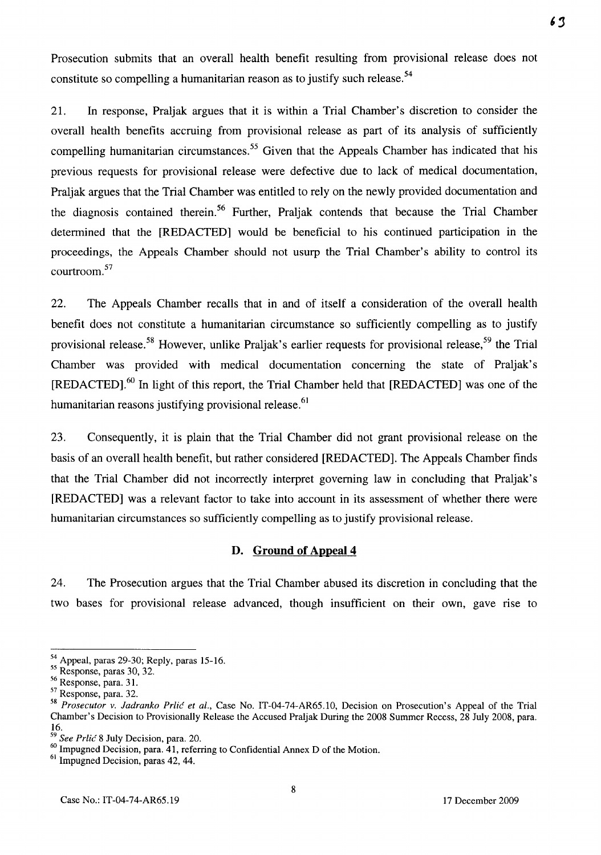Prosecution submits that an overall health benefit resulting from provisional release does not constitute so compelling a humanitarian reason as to justify such release.<sup>54</sup>

21. **In** response, Praljak argues that it is within a Trial Chamber's discretion to consider the overall health benefits accruing from provisional release as part of its analysis of sufficiently compelling humanitarian circumstances.<sup>55</sup> Given that the Appeals Chamber has indicated that his previous requests for provisional release were defective due to lack of medical documentation, Praljak argues that the Trial Chamber was entitled to rely on the newly provided documentation and the diagnosis contained therein.<sup>56</sup> Further, Praljak contends that because the Trial Chamber determined that the [REDACTED] would be beneficial to his continued participation in the proceedings, the Appeals Chamber should not usurp the Trial Chamber's ability to control its courtroom. 57

22. The Appeals Chamber recalls that in and of itself a consideration of the overall health benefit does not constitute a humanitarian circumstance so sufficiently compelling as to justify provisional release.<sup>58</sup> However, unlike Praljak's earlier requests for provisional release,<sup>59</sup> the Trial Chamber was provided with medical documentation concerning the state of Praljak's [REDACTED].60 **In** light of this report, the Trial Chamber held that [REDACTED] was one of the humanitarian reasons justifying provisional release.<sup>61</sup>

23. Consequently, it is plain that the Trial Chamber did not grant provisional release on the basis of an overall health benefit, but rather considered [REDACTED]. The Appeals Chamber finds that the Trial Chamber did not incorrectly interpret governing law in concluding that Praljak's [REDACTED] was a relevant factor to take into account in its assessment of whether there were humanitarian circumstances so sufficiently compelling as to justify provisional release.

#### **D. Ground of Appeal 4**

24. The Prosecution argues that the Trial Chamber abused its discretion in concluding that the two bases for provisional release advanced, though insufficient on their own, gave rise to

8

 $6<sub>3</sub>$ 

<sup>54</sup> Appeal, paras 29-30; Reply, paras 15-16.

<sup>55</sup> Response, paras 30, 32.

<sup>56</sup> Response, para. 31.

<sup>57</sup> Response, para. 32.

*<sup>58</sup> Prosecutor* v. *ladranko Prlic et aI.,* Case No. IT-04-74-AR65.1O, Decision on Prosecution's Appeal of the Trial Chamber's Decision to Provisionally Release the Accused Praljak During the 2008 Summer Recess, 28 July 2008, para. 16.

*<sup>59</sup> See Prlic* 8 July Decision, para. 20.

<sup>&</sup>lt;sup>60</sup> Impugned Decision, para. 41, referring to Confidential Annex D of the Motion.

<sup>&</sup>lt;sup>61</sup> Impugned Decision, paras 42, 44.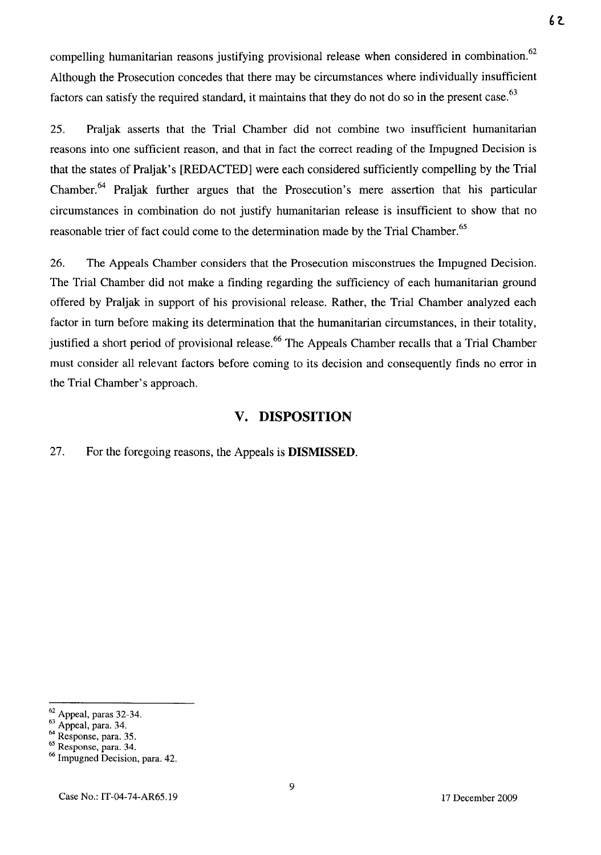compelling humanitarian reasons justifying provisional release when considered in combination.<sup>62</sup> Although the Prosecution concedes that there may be circumstances where individually insufficient factors can satisfy the required standard, it maintains that they do not do so in the present case.<sup>63</sup>

25. Praljak asserts that the Trial Chamber did not combine two insufficient humanitarian reasons into one sufficient reason, and that in fact the correct reading of the Impugned Decision is that the states of Praljak's [REDACTED] were each considered sufficiently compelling by the Trial Chamber.64 Praljak further argues that the Prosecution's mere assertion that his particular circumstances in combination do not justify humanitarian release is insufficient to show that no reasonable trier of fact could come to the determination made by the Trial Chamber.<sup>65</sup>

26. The Appeals Chamber considers that the Prosecution misconstrues the Impugned Decision. The Trial Chamber did not make a finding regarding the sufficiency of each humanitarian ground offered by Praljak in support of his provisional release. Rather, the Trial Chamber analyzed each factor in turn before making its determination that the humanitarian circumstances, in their totality, justified a short period of provisional release.<sup>66</sup> The Appeals Chamber recalls that a Trial Chamber must consider all relevant factors before coming to its decision and consequently finds no error in the Trial Chamber's approach.

## **v. DISPOSITION**

27. For the foregoing reasons, the Appeals is **DISMISSED.** 

9

 $\frac{62}{2}$  Appeal, paras 32-34.

 $63$  Appeal, para. 34.

 $^{\circ4}$  Response, para. 35.

<sup>65</sup> Response, para. 34.

<sup>66</sup> Impugned Decision, para. 42.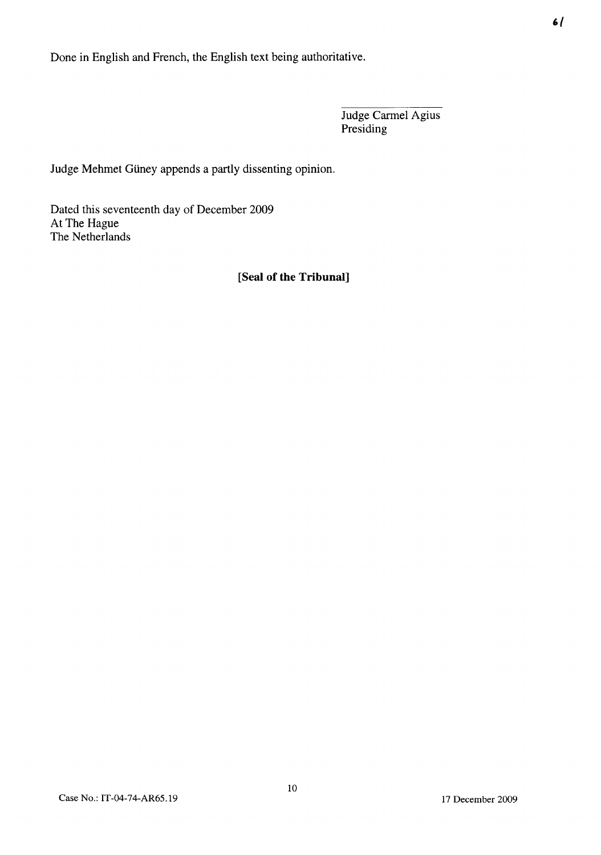Done in English and French, the English text being authoritative.

Judge Carrnel Agius Presiding

Judge Mehmet Güney appends a partly dissenting opinion.

Dated this seventeenth day of December 2009 At The Hague The Netherlands

## **[Seal of the Tribunal]**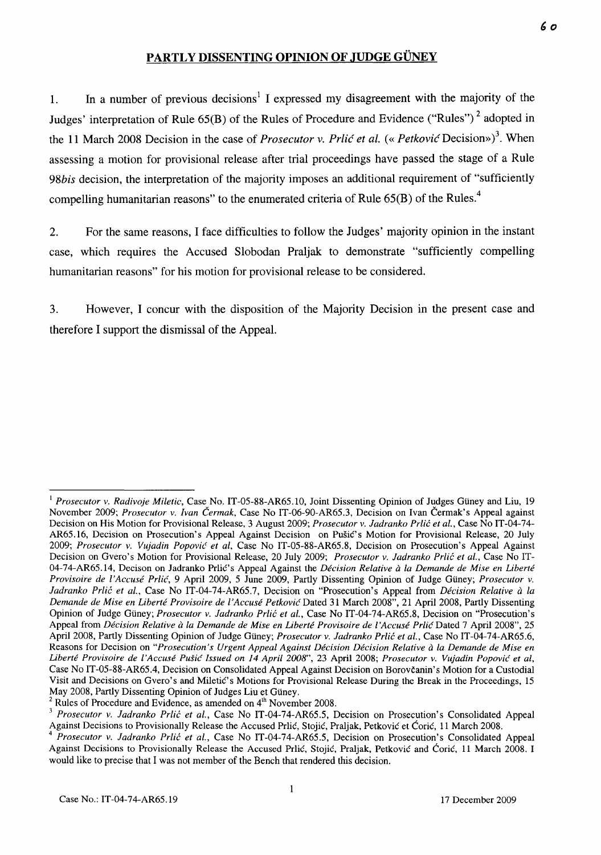## PARTLY DISSENTING OPINION OF JUDGE GÜNEY

1. In a number of previous decisions<sup>1</sup> I expressed my disagreement with the majority of the Judges' interpretation of Rule  $65(B)$  of the Rules of Procedure and Evidence ("Rules")<sup>2</sup> adopted in the 11 March 2008 Decision in the case of *Prosecutor v. Prlić et al.* (« Petković Decision»)<sup>3</sup>. When assessing a motion for provisional release after trial proceedings have passed the stage of a Rule *98bis* decision, the interpretation of the majority imposes an additional requirement of "sufficiently compelling humanitarian reasons" to the enumerated criteria of Rule  $65(B)$  of the Rules.<sup>4</sup>

2. For the same reasons, I face difficulties to follow the Judges' majority opinion in the instant case, which requires the Accused Slobodan Praljak to demonstrate "sufficiently compelling humanitarian reasons" for his motion for provisional release to be considered.

3. However, I concur with the disposition of the Majority Decision in the present case and therefore I support the dismissal of the Appeal.

<sup>&</sup>lt;sup>1</sup> Prosecutor v. Radivoje Miletic, Case No. IT-05-88-AR65.10, Joint Dissenting Opinion of Judges Güney and Liu, 19 November 2009; *Prosecutor v. Ivan Cermak,* Case No IT-06-90-AR65.3, Decision on Ivan Cermak's Appeal against Decision on His Motion for Provisional Release, 3 August 2009; *Prosecutor v. ladranko Prlic et al.,* Case No IT-04-74- AR65.16, Decision on Prosecution's Appeal Against Decision on Pušić's Motion for Provisional Release, 20 July *2009; Prosecutor v. Vujadin Popovic et aI,* Case No IT-05-88-AR65.8, Decision on Prosecution's Appeal Against Decision on Gvero's Motion for Provisional Release, 20 July 2009; *Prosecutor v. ladranko Prlic et al.,* Case No IT-04-74-AR65.14, Decison on Jadranko Prlic's Appeal Against the *Decision Relative a la Demande de Mise en Liberte Provisoire de l'Accuse Prlic,* 9 April 2009, 5 June 2009, Partly Dissenting Opinion of Judge Gtiney; *Prosecutor v. ladranko Prlic et al.,* Case No IT-04-74-AR6S.7, Decision on "Prosecution's Appeal from *Decision Relative a la Demande de Mise en Liberte Provisoire de {'Accuse Petkovic* Dated 31 March 2008", 21 April 2008, Partly Dissenting Opinion of Judge Gtiney; *Prosecutor v. ladranko Prlic et aI.,* Case No IT-04-74-AR6S.8, Decision on "Prosecution's Appeal from *Décision Relative à la Demande de Mise en Liberté Provisoire de l'Accusé Prlić* Dated 7 April 2008", 25 April 2008, Partly Dissenting Opinion of Judge Gtiney; *Prosecutor v. ladranko Prlic et aI.,* Case No IT-04-74-AR65.6, Reasons for Decision on *"Prosecution's Urgent Appeal Against Decision Decision Relative a la Demande de Mise en Liberte Provisoire de l'Accuse Pusic Issued on* 14 *April 2008",* 23 April 2008; *Prosecutor v. Vujadin Popovic et ai,*  Case No IT-OS-88-AR6S.4, Decision on Consolidated Appeal Against Decision on Borovcanin's Motion for a Custodial Visit and Decisions on Gvero's and Miletic's Motions for Provisional Release During the Break in the Proceedings, 15 May 2008, Partly Dissenting Opinion of Judges Liu et Güney.

 $2$  Rules of Procedure and Evidence, as amended on  $4<sup>th</sup>$  November 2008.

<sup>&</sup>lt;sup>3</sup> Prosecutor v. Jadranko Prlić et al., Case No IT-04-74-AR65.5, Decision on Prosecution's Consolidated Appeal Against Decisions to Provisionally Release the Accused Prlic, Stojic, Praljak, Petkovic et Coric, 11 March 2008.

*<sup>4</sup> Prosecutor v. ladranko Prlic et aI.,* Case No IT-04-74-AR6S.S, Decision on Prosecution's Consolidated Appeal Against Decisions to Provisionally Release the Accused Prlić, Stojić, Praljak, Petković and Ćorić, 11 March 2008. I would like to precise that I was not member of the Bench that rendered this decision.